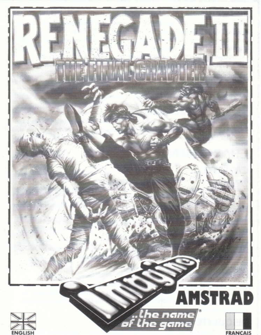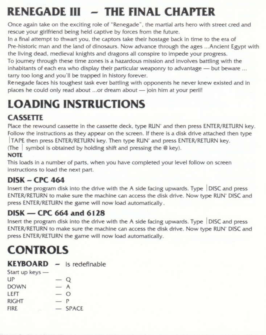## **RENEGADE III - THE FINAL CHAPTER**

Once again take on the exciting role of "Renegade", the martial arts hero with street cred and rescue your girlfriend being held captive by forces from the future.

In a final attempt to thwart you, the captors take their hostage back in time to the era of Pre-historic man and the land of dinosaurs. Now advance through the ages ... Ancient Egypt with the living dead, medieval knights and dragons all conspire to impede your progress.

To journey through these time zones is a hazardous mission and involves battling with the inhabitants of each era who display their particular weaponry to advantage - but beware ... tarry too long and you'll be trapped in history forever.

Renegade faces his toughest task ever battling with opponents he never knew existed and in places he could only read about ... or dream about - join him at your peril!

## **LOADING INSTRUCTIONS**

#### **CASSETTE**

Place the rewound cassette in the cassette deck, type RUN' and then press ENTER/RETURN key. Follow the instructions as they appear on the screen. If there is a disk drive attached then type TAPE then press ENTER/RETURN key. Then type RUN" and press ENTER/RETURN key.

(The symbol is obtained by holding shift and pressing the  $@$  key).

#### **NOTE**

This loads in a number of parts, when you have completed your level follow on screen instructions to load the next part.

#### **DISK - CPC 464**

Insert the program disk into the drive with the A side facing upwards. Type DISC and press ENTER/RETURN to make sure the machine can access the disk drive. Now type RUN' DISC and press ENTER/RETURN the game will now load automatically.

#### DISK - CPC 664 and 6128

Insert the program disk into the drive with the A side facing upwards. Type | DISC and press ENTER/RETURN to make sure the machine can access the disk drive. Now type RUN" DISC and press ENTER/RETURN the game will now load automatically.

## **CONTROLS**

| <b>KEYBOARD</b> |  |  | is redefinable |
|-----------------|--|--|----------------|
|-----------------|--|--|----------------|

| Start up keys - |           |
|-----------------|-----------|
| $_{\text{HP}}$  | $-0$      |
| <b>DOWN</b>     | $\equiv$  |
| <b>LEFT</b>     | $-$ 0     |
| <b>RIGHT</b>    | $-$ P     |
| <b>FIRE</b>     | $-$ SPACE |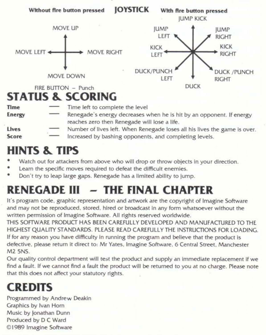

| <b>Energy</b> | Renegade's energy decreases when he is hit by an opponent. If energy |
|---------------|----------------------------------------------------------------------|
|               | reaches zero then Renegade will lose a life.                         |

#### Lives Number of lives left. When Renegade loses all his lives the game is over. Score Increased by bashing opponents, and completing levels.

#### **HINTS & TIPS**

- Watch out for attackers from above who will drop or throw objects in your direction.
- Learn the specific moves required to defeat the difficult enemies.
- ٠ Don't try to leap large gaps. Renegade has a limited ability to jump.

#### **RENEGADE III - THE FINAL CHAPTER**

It's program code, graphic representation and artwork are the copyright of Imagine Software and may not be reproduced, stored, hired or broadcast in any form whatsoever without the written permission of Imagine Software. All rights reserved worldwide.

THIS SOFTWARE PRODUCT HAS BEEN CAREFULLY DEVELOPED AND MANUFACTURED TO THE HIGHEST QUALITY STANDARDS. PLEASE READ CAREFULLY THE INSTRUCTIONS FOR LOADING. If for any reason you have difficulty in running the program and believe that the product is defective, please return it direct to: Mr Yates, Imagine Software, 6 Central Street, Manchester **M2 5NS** 

Our quality control department will test the product and supply an immediate replacement if we find a fault. If we cannot find a fault the product will be returned to you at no charge. Please note that this does not affect your statutory rights.

## **CREDITS**

Programmed by Andrew Deakin Graphics by Ivan Horn Music by Jonathan Dunn Produced by D C Ward ©1989 Imagine Software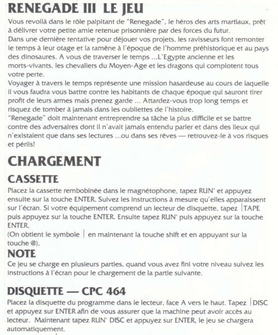# **RENEGADE III LE JEU**

Vous revoilà dans le rôle palpitant de "Renegade", le héros des arts martiaux, prêt à délivrer votre petite amie retenue prisonnière par des forces du futur.

Dans une dernière tentative pour déjouer vos projets, les ravisseurs font remonter le temps à leur otage et la ramène à l'époque de l'homme préhistorique et au pays des dinosaures. A vous de traverser le temps ... L'Egypte ancienne et les morts-vivants, les chevaliers du Moven-Age et les dragons qui complotent tous votre perte.

Voyager à travers le temps représente une mission hasardeuse au cours de laquelle il vous faudra vous battre contre les habitants de chaque époque qui sauront tirer profit de leurs armes mais prenez garde ... Attardez-vous trop long temps et risquez de tomber à jamais dans les oubliettes de l'histoire.

"Renegade" doit maintenant entreprendre sa tâche la plus difficile et se battre contre des adversaires dont il n'avait jamais entendu parler et dans des lieux qui n'existaient que dans ses lectures ... ou dans ses rêves - retrouvez-le à vos risques et périls!

# **CHARGEMENT**

## **CASSETTE**

Placez la cassette rembobinée dans le magnétophone, tapez RUN' et appuyez ensuite sur la touche ENTER. Suivez les instructions à mesure qu'elles apparaissent sur l'écran. Si votre équipement comprend un lecteur de disquette, tapez TAPE puis appuyez sur la touche ENTER. Ensuite tapez RUN" puis appuyez sur la touche ENTER.

(On obtient le symbole en maintenant la touche shift et en appuyant sur la touche@).

## **NOTE**

Ce jeu se charge en plusieurs parties, quand vous avez fini votre niveau suivez les instructions à l'écran pour le chargement de la partie suivante.

#### **DISQUETTE - CPC 464**

Placez la disquette du programme dans le lecteur, face A vers le haut. Tapez DISC et appuyez sur ENTER afin de vous assurer que la machine peut avoir accès au lecteur. Maintenant tapez RUN" DISC et appuyez sur ENTER, le jeu se chargera automatiquement.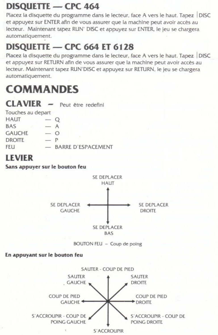#### **DISQUETTE - CPC 464**

Placez la disquette du programme dans le lecteur, face A vers le haut. Tapez DISC et appuyez sur ENTER afin de vous assurer que la machine peut avoir accès au lecteur. Maintenant tapez RUN" DISC et appuyez sur ENTER, le jeu se chargera automatiquement.

#### DISQUETTE - CPC 664 ET 6128

Placez la disquette du programme dans le lecteur, face A vers le haut. Tapez DISC et appuyez sur RETURN afin de vous assurer que la machine peut avoir accès au lecteur. Maintenant tapez RUN'DISC et appuyez sur RETURN, le jeu se chargera automatiquement.

## **COMMANDES**

| $CLAVIER -$       |                          | Peut être redefini   |
|-------------------|--------------------------|----------------------|
| Touches au depart |                          |                      |
| <b>HAUT</b>       | $\overline{\phantom{a}}$ |                      |
| <b>BAS</b>        | $- A$                    |                      |
| <b>GAUCHE</b>     | $-$ 0                    |                      |
| <b>DROITE</b>     | $-$ P                    |                      |
| <b>FEU</b>        |                          | - BARRE D'ESPACEMENT |

#### **LEVIER**

Sans appuyer sur le bouton feu





#### En appuyant sur le bouton feu

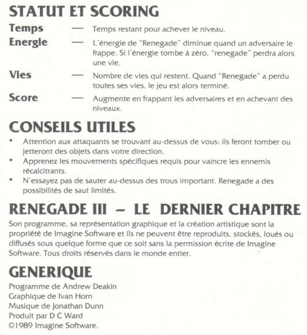# **STATUT ET SCORING**

**Temps** Temps restant pour achever le niveau.

- **Energie** L'énergie de "Renegade" diminue quand un adversaire le frappe. Si l'énergie tombe à zéro, "renegade" perdra alors une vie
- **Vies** Nombre de vies qui restent. Quand "Renegade" a perdu toutes ses vies, le jeu est alors terminé.
- Score Augmente en frappant les adversaires et en achevant des niveaux

# **CONSEILS UTILES**

- Attention aux attaquants se trouvant au-dessus de vous: ils feront tomber ou jetteront des objets dans votre direction.
- Apprenez les mouvements spécifiques requis pour vaincre les ennemis récalcitrants
- $\bullet$ N'essavez pas de sauter au-dessus des trous important. Renegade a des possibilités de saut limités.

# **RENEGADE III - LE DERNIER CHAPITRE**

Son programme, sa représentation graphique et la création artistique sont la propriété de Imagine Software et ils ne peuvent être reproduits, stockés, loués ou diffusés sous quelque forme que ce soit sans la permission écrite de Imagine Software. Tous droits réservés dans le monde entier.

# **GENERIQUE**

Programme de Andrew Deakin Graphique de Ivan Horn Musique de Ionathan Dunn Produit par D C Ward ©1989 Imagine Software.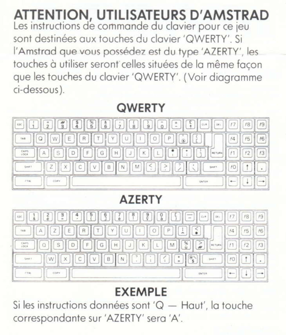**ATTENTION, UTILISATEURS D'AMSTRAD**<br>Les instructions de commande du clavier pour ce jeu sont destinées aux touches du clavier 'QWERTY'. Si l'Amstrad que vous possédez est du type 'AZERTY', les touches à utiliser seront celles situées de la même facon que les touches du clavier 'QWERTY'. (Voir diagramme ci-dessous).

 $\frac{N}{q}$  $\frac{5}{4}$ E ¦÷ ř4  $f<sub>5</sub>$  $f6$  $\overline{D}$ G  $\mathbf{H}$  $\kappa$  $\mathfrak l$ RETURN  $f1$  $f2$  $f3$  $N$   $M$   $\leq$   $\geq$  $\sqrt{ }$  $\,$  B  $f$ O  $\ddagger$  $\mathbb{C}$  $\ddot{\phantom{a}}$ civit. **LIGTER** 

**OWERTY** 

**AZERTY** 



#### **EXEMPLE**

Si les instructions données sont 'Q - Haut', la touche correspondante sur 'AZERTY' sera 'A'.